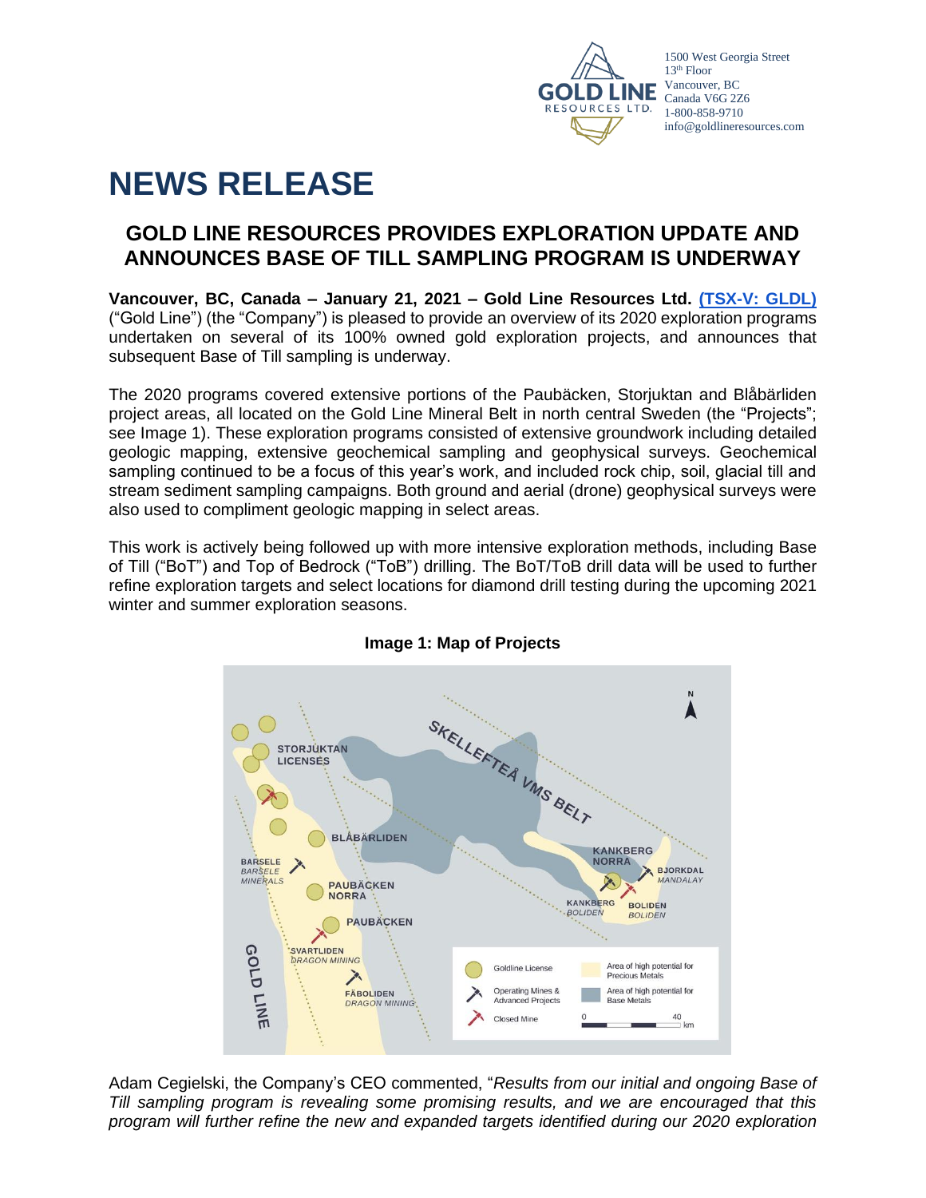

# **NEWS RELEASE**

# **GOLD LINE RESOURCES PROVIDES EXPLORATION UPDATE AND ANNOUNCES BASE OF TILL SAMPLING PROGRAM IS UNDERWAY**

**Vancouver, BC, Canada – January 21, 2021 – Gold Line Resources Ltd. [\(TSX-V: GLDL\)](http://web.tmxmoney.com/quote.php?qm_symbol=syh)** ("Gold Line") (the "Company") is pleased to provide an overview of its 2020 exploration programs undertaken on several of its 100% owned gold exploration projects, and announces that subsequent Base of Till sampling is underway.

The 2020 programs covered extensive portions of the Paubäcken, Storjuktan and Blåbärliden project areas, all located on the Gold Line Mineral Belt in north central Sweden (the "Projects"; see Image 1). These exploration programs consisted of extensive groundwork including detailed geologic mapping, extensive geochemical sampling and geophysical surveys. Geochemical sampling continued to be a focus of this year's work, and included rock chip, soil, glacial till and stream sediment sampling campaigns. Both ground and aerial (drone) geophysical surveys were also used to compliment geologic mapping in select areas.

This work is actively being followed up with more intensive exploration methods, including Base of Till ("BoT") and Top of Bedrock ("ToB") drilling. The BoT/ToB drill data will be used to further refine exploration targets and select locations for diamond drill testing during the upcoming 2021 winter and summer exploration seasons.



# **Image 1: Map of Projects**

Adam Cegielski, the Company's CEO commented, "*Results from our initial and ongoing Base of Till sampling program is revealing some promising results, and we are encouraged that this program will further refine the new and expanded targets identified during our 2020 exploration*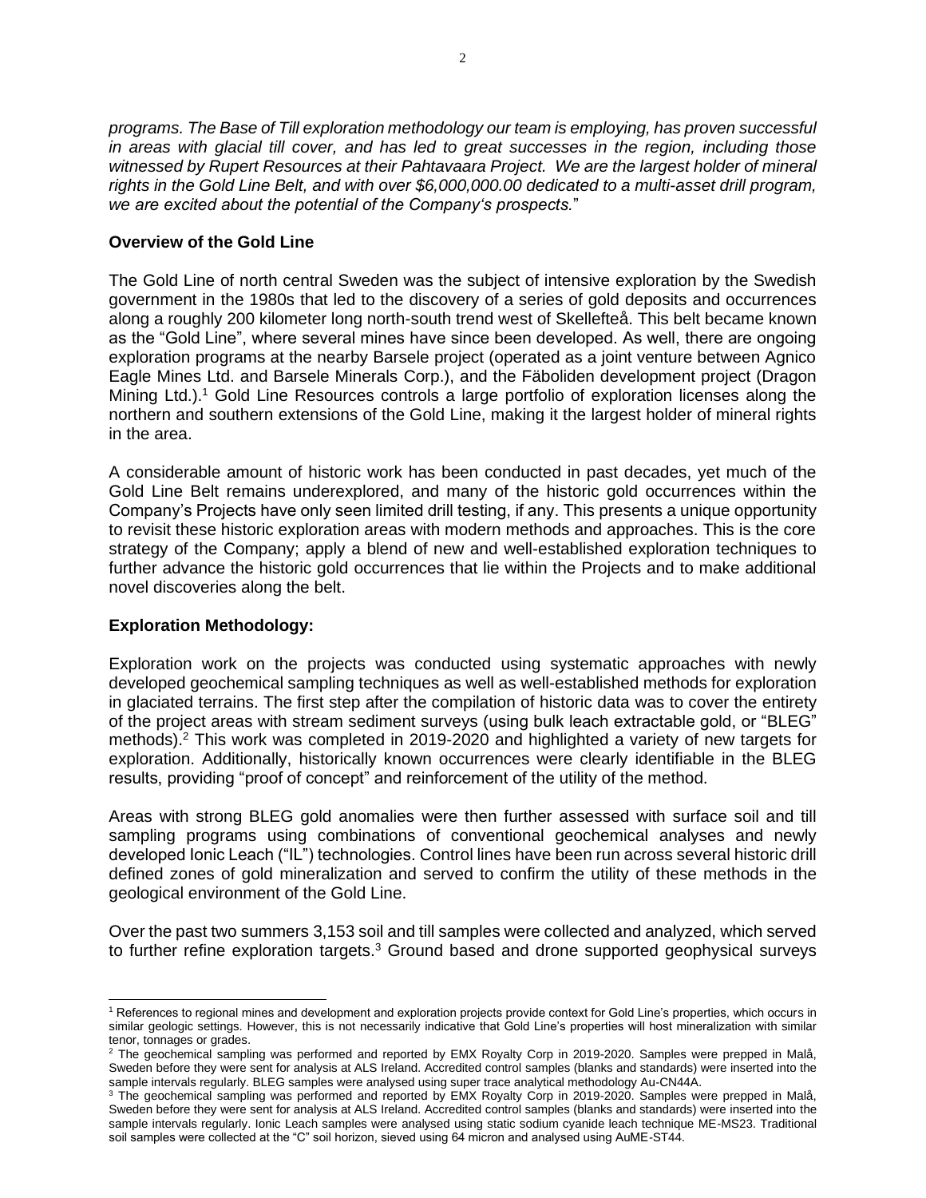*programs. The Base of Till exploration methodology our team is employing, has proven successful in areas with glacial till cover, and has led to great successes in the region, including those witnessed by Rupert Resources at their Pahtavaara Project. We are the largest holder of mineral rights in the Gold Line Belt, and with over \$6,000,000.00 dedicated to a multi-asset drill program, we are excited about the potential of the Company's prospects.*"

# **Overview of the Gold Line**

The Gold Line of north central Sweden was the subject of intensive exploration by the Swedish government in the 1980s that led to the discovery of a series of gold deposits and occurrences along a roughly 200 kilometer long north-south trend west of Skellefteå. This belt became known as the "Gold Line", where several mines have since been developed. As well, there are ongoing exploration programs at the nearby Barsele project (operated as a joint venture between Agnico Eagle Mines Ltd. and Barsele Minerals Corp.), and the Fäboliden development project (Dragon Mining Ltd.).<sup>1</sup> Gold Line Resources controls a large portfolio of exploration licenses along the northern and southern extensions of the Gold Line, making it the largest holder of mineral rights in the area.

A considerable amount of historic work has been conducted in past decades, yet much of the Gold Line Belt remains underexplored, and many of the historic gold occurrences within the Company's Projects have only seen limited drill testing, if any. This presents a unique opportunity to revisit these historic exploration areas with modern methods and approaches. This is the core strategy of the Company; apply a blend of new and well-established exploration techniques to further advance the historic gold occurrences that lie within the Projects and to make additional novel discoveries along the belt.

# **Exploration Methodology:**

Exploration work on the projects was conducted using systematic approaches with newly developed geochemical sampling techniques as well as well-established methods for exploration in glaciated terrains. The first step after the compilation of historic data was to cover the entirety of the project areas with stream sediment surveys (using bulk leach extractable gold, or "BLEG" methods).<sup>2</sup> This work was completed in 2019-2020 and highlighted a variety of new targets for exploration. Additionally, historically known occurrences were clearly identifiable in the BLEG results, providing "proof of concept" and reinforcement of the utility of the method.

Areas with strong BLEG gold anomalies were then further assessed with surface soil and till sampling programs using combinations of conventional geochemical analyses and newly developed Ionic Leach ("IL") technologies. Control lines have been run across several historic drill defined zones of gold mineralization and served to confirm the utility of these methods in the geological environment of the Gold Line.

Over the past two summers 3,153 soil and till samples were collected and analyzed, which served to further refine exploration targets.<sup>3</sup> Ground based and drone supported geophysical surveys

<sup>&</sup>lt;sup>1</sup> References to regional mines and development and exploration projects provide context for Gold Line's properties, which occurs in similar geologic settings. However, this is not necessarily indicative that Gold Line's properties will host mineralization with similar tenor, tonnages or grades.

 $2$  The geochemical sampling was performed and reported by EMX Royalty Corp in 2019-2020. Samples were prepped in Malå, Sweden before they were sent for analysis at ALS Ireland. Accredited control samples (blanks and standards) were inserted into the sample intervals regularly. BLEG samples were analysed using super trace analytical methodology Au-CN44A.

<sup>3</sup> The geochemical sampling was performed and reported by EMX Royalty Corp in 2019-2020. Samples were prepped in Malå, Sweden before they were sent for analysis at ALS Ireland. Accredited control samples (blanks and standards) were inserted into the sample intervals regularly. Ionic Leach samples were analysed using static sodium cyanide leach technique ME-MS23. Traditional soil samples were collected at the "C" soil horizon, sieved using 64 micron and analysed using AuME-ST44.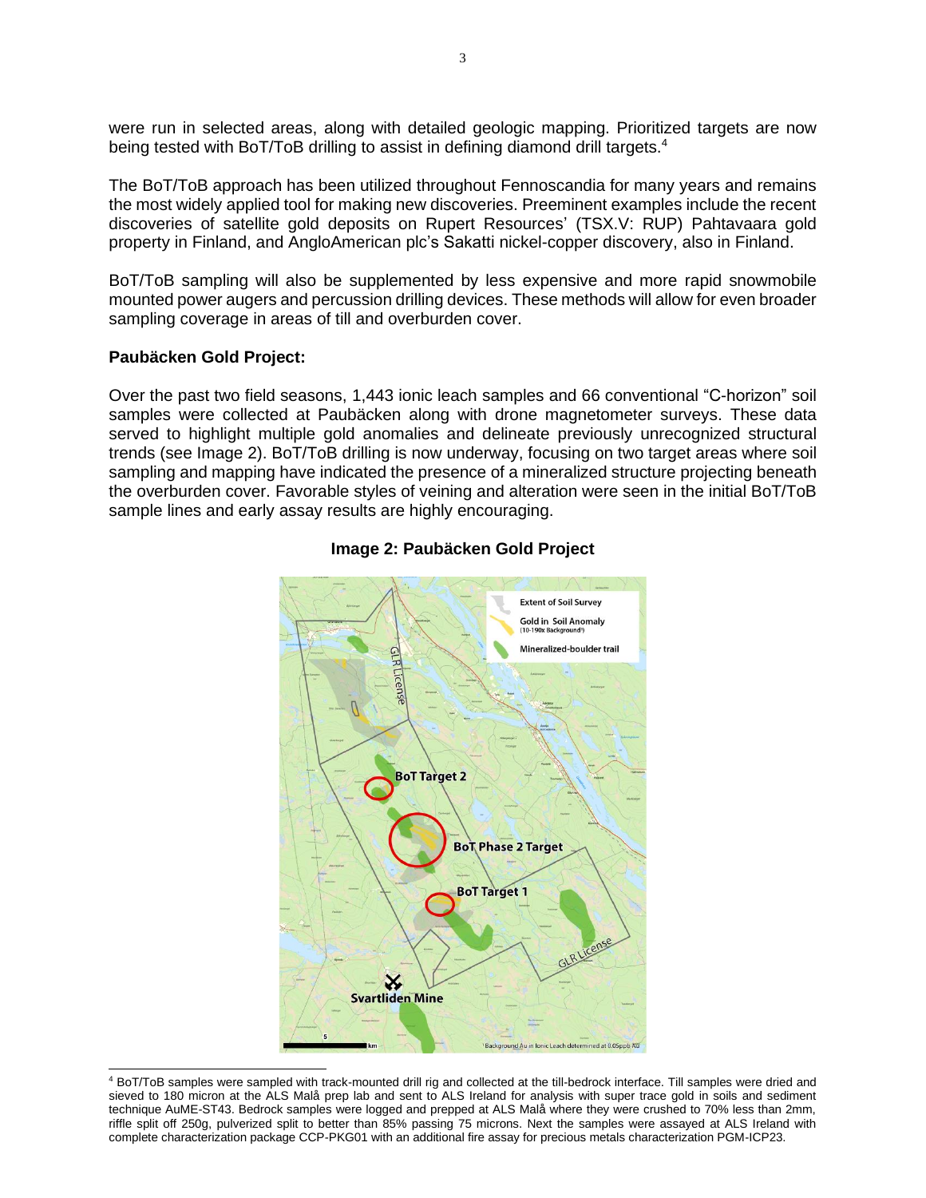were run in selected areas, along with detailed geologic mapping. Prioritized targets are now being tested with BoT/ToB drilling to assist in defining diamond drill targets.<sup>4</sup>

The BoT/ToB approach has been utilized throughout Fennoscandia for many years and remains the most widely applied tool for making new discoveries. Preeminent examples include the recent discoveries of satellite gold deposits on Rupert Resources' (TSX.V: RUP) Pahtavaara gold property in Finland, and AngloAmerican plc's Sakatti nickel-copper discovery, also in Finland.

BoT/ToB sampling will also be supplemented by less expensive and more rapid snowmobile mounted power augers and percussion drilling devices. These methods will allow for even broader sampling coverage in areas of till and overburden cover.

#### **Paubäcken Gold Project:**

Over the past two field seasons, 1,443 ionic leach samples and 66 conventional "C-horizon" soil samples were collected at Paubäcken along with drone magnetometer surveys. These data served to highlight multiple gold anomalies and delineate previously unrecognized structural trends (see Image 2). BoT/ToB drilling is now underway, focusing on two target areas where soil sampling and mapping have indicated the presence of a mineralized structure projecting beneath the overburden cover. Favorable styles of veining and alteration were seen in the initial BoT/ToB sample lines and early assay results are highly encouraging.



## **Image 2: Paubäcken Gold Project**

<sup>4</sup> BoT/ToB samples were sampled with track-mounted drill rig and collected at the till-bedrock interface. Till samples were dried and sieved to 180 micron at the ALS Malå prep lab and sent to ALS Ireland for analysis with super trace gold in soils and sediment technique AuME-ST43. Bedrock samples were logged and prepped at ALS Malå where they were crushed to 70% less than 2mm, riffle split off 250g, pulverized split to better than 85% passing 75 microns. Next the samples were assayed at ALS Ireland with complete characterization package CCP-PKG01 with an additional fire assay for precious metals characterization PGM-ICP23.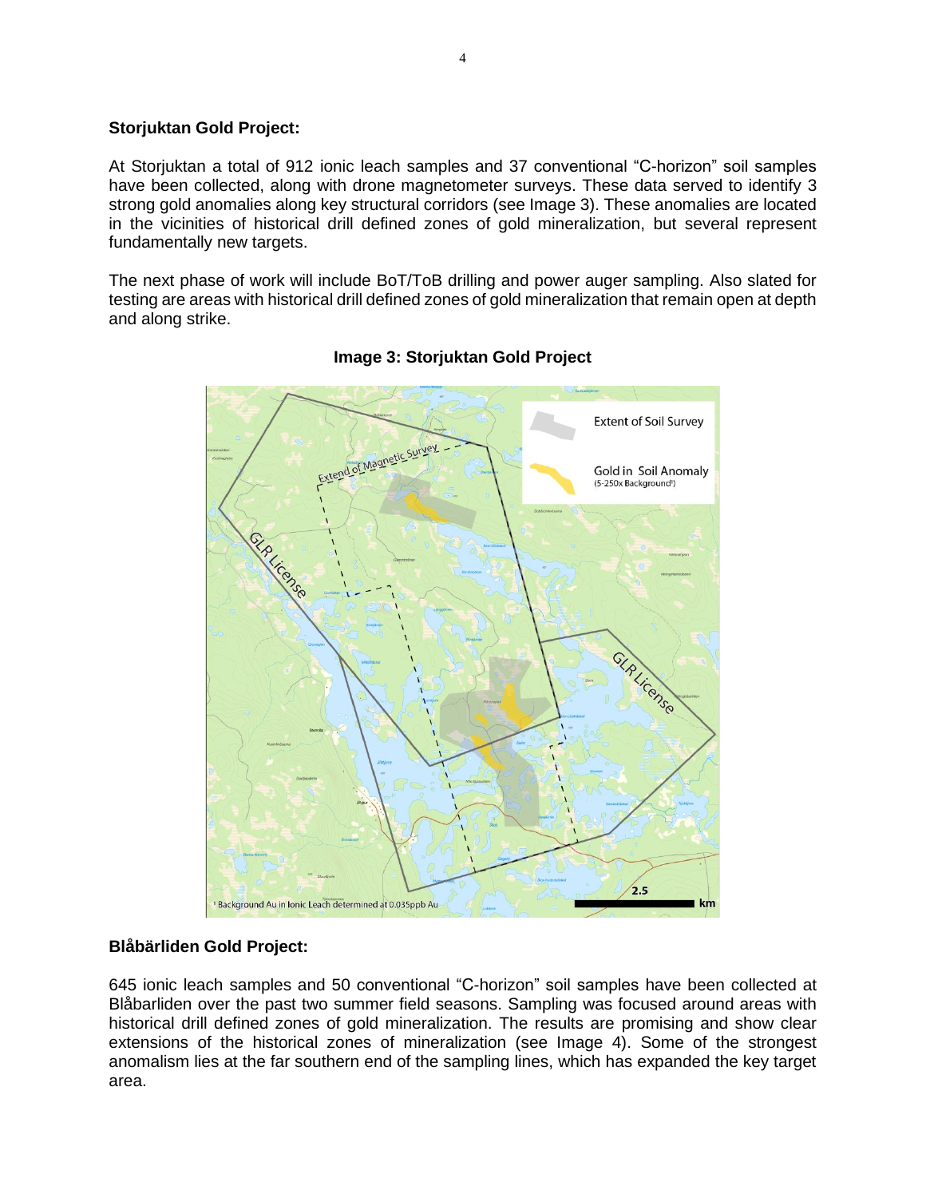#### **Storjuktan Gold Project:**

At Storjuktan a total of 912 ionic leach samples and 37 conventional "C-horizon" soil samples have been collected, along with drone magnetometer surveys. These data served to identify 3 strong gold anomalies along key structural corridors (see Image 3). These anomalies are located in the vicinities of historical drill defined zones of gold mineralization, but several represent fundamentally new targets.

The next phase of work will include BoT/ToB drilling and power auger sampling. Also slated for testing are areas with historical drill defined zones of gold mineralization that remain open at depth and along strike.



# **Image 3: Storjuktan Gold Project**

#### **Blåbärliden Gold Project:**

645 ionic leach samples and 50 conventional "C-horizon" soil samples have been collected at Blåbarliden over the past two summer field seasons. Sampling was focused around areas with historical drill defined zones of gold mineralization. The results are promising and show clear extensions of the historical zones of mineralization (see Image 4). Some of the strongest anomalism lies at the far southern end of the sampling lines, which has expanded the key target area.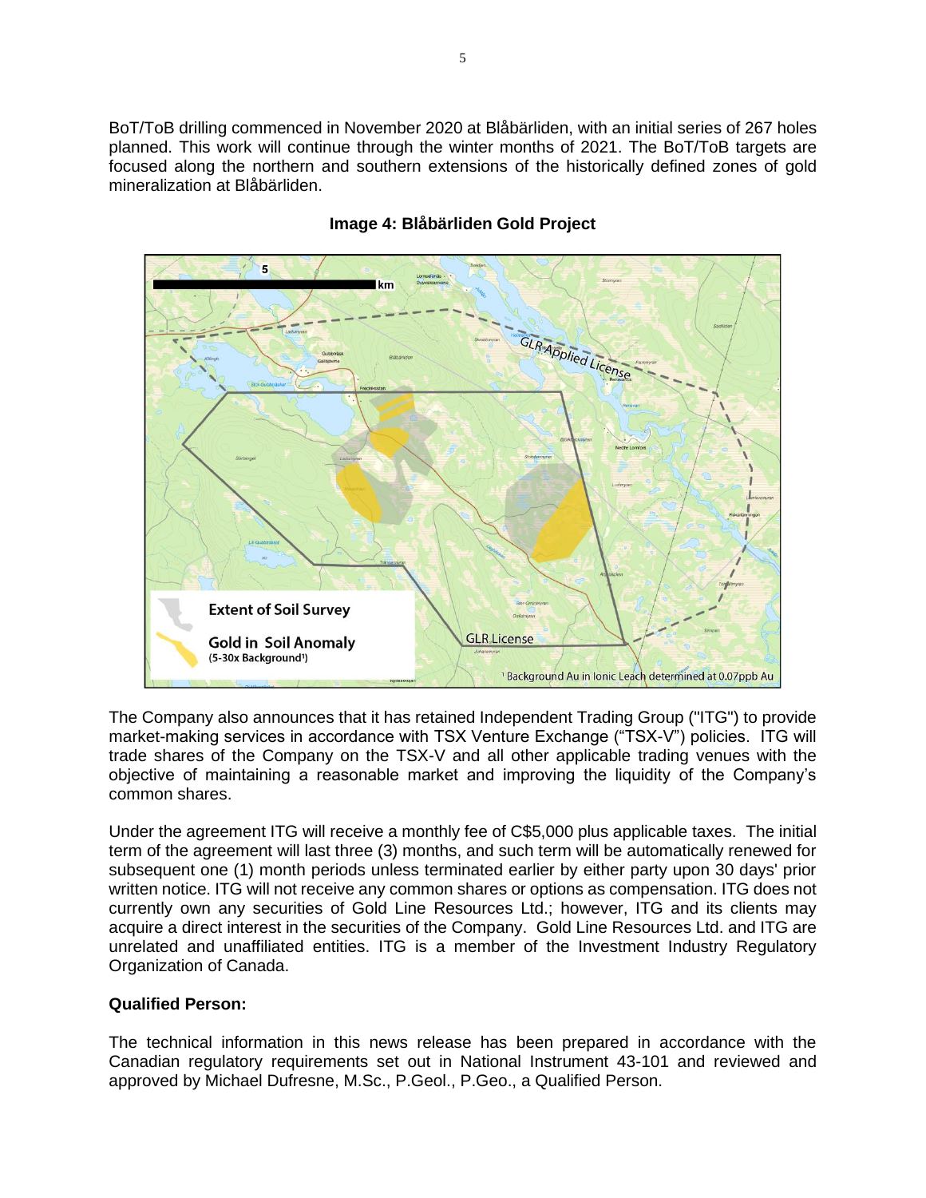BoT/ToB drilling commenced in November 2020 at Blåbärliden, with an initial series of 267 holes planned. This work will continue through the winter months of 2021. The BoT/ToB targets are focused along the northern and southern extensions of the historically defined zones of gold mineralization at Blåbärliden.



## **Image 4: Blåbärliden Gold Project**

The Company also announces that it has retained Independent Trading Group ("ITG") to provide market-making services in accordance with TSX Venture Exchange ("TSX-V") policies. ITG will trade shares of the Company on the TSX-V and all other applicable trading venues with the objective of maintaining a reasonable market and improving the liquidity of the Company's common shares.

Under the agreement ITG will receive a monthly fee of C\$5,000 plus applicable taxes. The initial term of the agreement will last three (3) months, and such term will be automatically renewed for subsequent one (1) month periods unless terminated earlier by either party upon 30 days' prior written notice. ITG will not receive any common shares or options as compensation. ITG does not currently own any securities of Gold Line Resources Ltd.; however, ITG and its clients may acquire a direct interest in the securities of the Company. Gold Line Resources Ltd. and ITG are unrelated and unaffiliated entities. ITG is a member of the Investment Industry Regulatory Organization of Canada.

#### **Qualified Person:**

The technical information in this news release has been prepared in accordance with the Canadian regulatory requirements set out in National Instrument 43-101 and reviewed and approved by Michael Dufresne, M.Sc., P.Geol., P.Geo., a Qualified Person.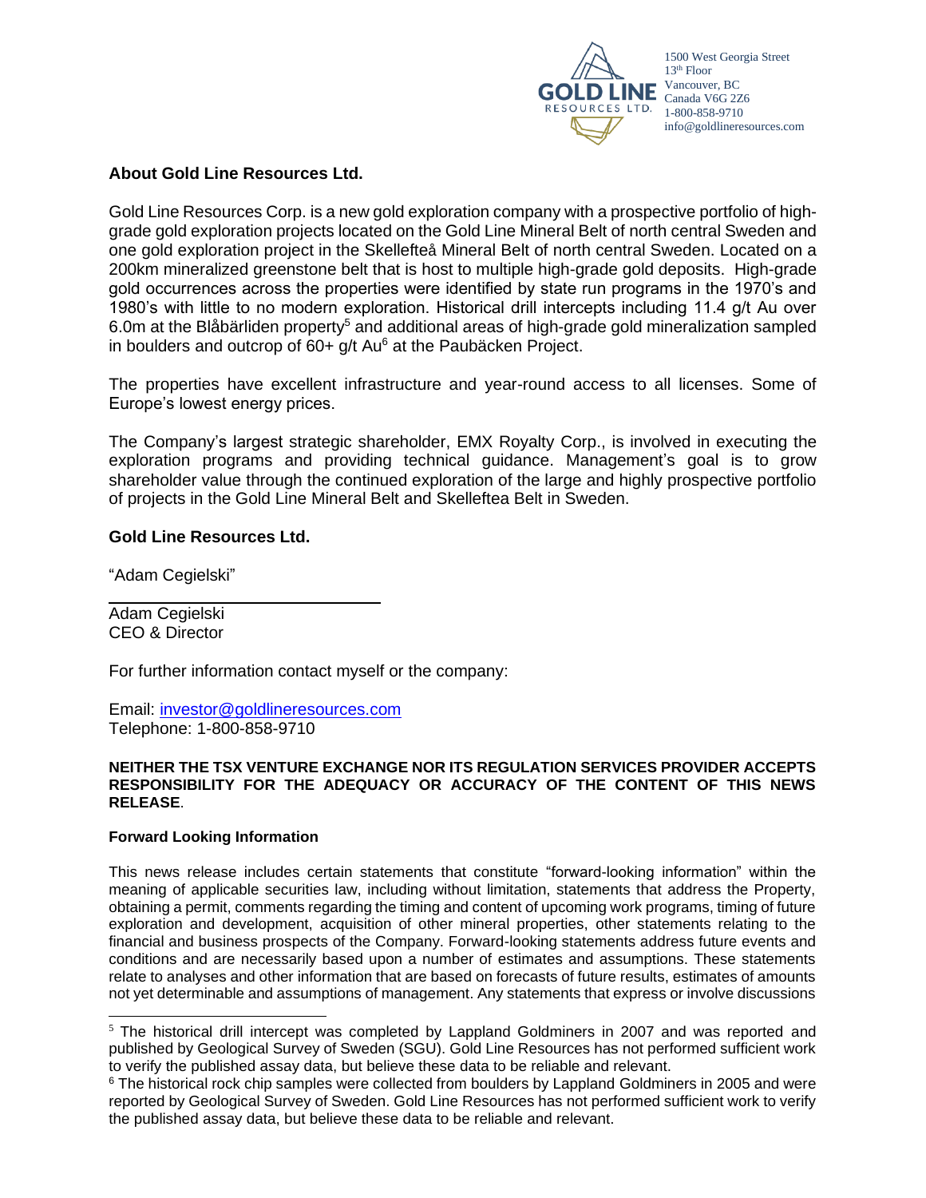

### **About Gold Line Resources Ltd.**

Gold Line Resources Corp. is a new gold exploration company with a prospective portfolio of highgrade gold exploration projects located on the Gold Line Mineral Belt of north central Sweden and one gold exploration project in the Skellefteå Mineral Belt of north central Sweden. Located on a 200km mineralized greenstone belt that is host to multiple high-grade gold deposits. High-grade gold occurrences across the properties were identified by state run programs in the 1970's and 1980's with little to no modern exploration. Historical drill intercepts including 11.4 g/t Au over 6.0m at the Blåbärliden property<sup>5</sup> and additional areas of high-grade gold mineralization sampled in boulders and outcrop of  $60+ q/t$  Au $^6$  at the Paubäcken Project.

The properties have excellent infrastructure and year-round access to all licenses. Some of Europe's lowest energy prices.

The Company's largest strategic shareholder, EMX Royalty Corp., is involved in executing the exploration programs and providing technical guidance. Management's goal is to grow shareholder value through the continued exploration of the large and highly prospective portfolio of projects in the Gold Line Mineral Belt and Skelleftea Belt in Sweden.

### **Gold Line Resources Ltd.**

"Adam Cegielski"

Adam Cegielski CEO & Director

For further information contact myself or the company:

Email: [investor@goldlineresources.com](mailto:investor@goldlineresources.com) Telephone: 1-800-858-9710

#### **NEITHER THE TSX VENTURE EXCHANGE NOR ITS REGULATION SERVICES PROVIDER ACCEPTS RESPONSIBILITY FOR THE ADEQUACY OR ACCURACY OF THE CONTENT OF THIS NEWS RELEASE**.

#### **Forward Looking Information**

This news release includes certain statements that constitute "forward-looking information" within the meaning of applicable securities law, including without limitation, statements that address the Property, obtaining a permit, comments regarding the timing and content of upcoming work programs, timing of future exploration and development, acquisition of other mineral properties, other statements relating to the financial and business prospects of the Company. Forward-looking statements address future events and conditions and are necessarily based upon a number of estimates and assumptions. These statements relate to analyses and other information that are based on forecasts of future results, estimates of amounts not yet determinable and assumptions of management. Any statements that express or involve discussions

<sup>&</sup>lt;sup>5</sup> The historical drill intercept was completed by Lappland Goldminers in 2007 and was reported and published by Geological Survey of Sweden (SGU). Gold Line Resources has not performed sufficient work to verify the published assay data, but believe these data to be reliable and relevant.

<sup>&</sup>lt;sup>6</sup> The historical rock chip samples were collected from boulders by Lappland Goldminers in 2005 and were reported by Geological Survey of Sweden. Gold Line Resources has not performed sufficient work to verify the published assay data, but believe these data to be reliable and relevant.